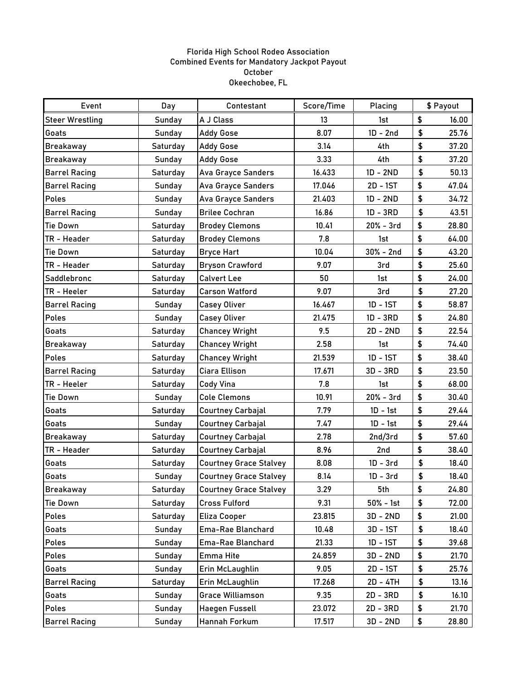## Florida High School Rodeo Association Combined Events for Mandatory Jackpot Payout October Okeechobee, FL

| Event                  | Day      | Contestant                    | Score/Time | Placing     | \$ Payout |       |
|------------------------|----------|-------------------------------|------------|-------------|-----------|-------|
| <b>Steer Wrestling</b> | Sunday   | A J Class                     | 13         | 1st         | \$        | 16.00 |
| Goats                  | Sunday   | <b>Addy Gose</b>              | 8.07       | $1D - 2nd$  | \$        | 25.76 |
| <b>Breakaway</b>       | Saturday | <b>Addy Gose</b>              | 3.14       | 4th         | \$        | 37.20 |
| <b>Breakaway</b>       | Sunday   | <b>Addy Gose</b>              | 3.33       | 4th         | \$        | 37.20 |
| <b>Barrel Racing</b>   | Saturday | <b>Ava Grayce Sanders</b>     | 16.433     | $1D - 2ND$  | \$        | 50.13 |
| <b>Barrel Racing</b>   | Sunday   | <b>Ava Grayce Sanders</b>     | 17.046     | 2D - 1ST    | \$        | 47.04 |
| <b>Poles</b>           | Sunday   | <b>Ava Grayce Sanders</b>     | 21.403     | $1D - 2ND$  | \$        | 34.72 |
| <b>Barrel Racing</b>   | Sunday   | <b>Brilee Cochran</b>         | 16.86      | $1D - 3RD$  | \$        | 43.51 |
| <b>Tie Down</b>        | Saturday | <b>Brodey Clemons</b>         | 10.41      | $20% - 3rd$ | \$        | 28.80 |
| TR - Header            | Saturday | <b>Brodey Clemons</b>         | 7.8        | 1st         | \$        | 64.00 |
| <b>Tie Down</b>        | Saturday | <b>Bryce Hart</b>             | 10.04      | $30% - 2nd$ | \$        | 43.20 |
| TR - Header            | Saturday | <b>Bryson Crawford</b>        | 9.07       | 3rd         | \$        | 25.60 |
| Saddlebronc            | Saturday | <b>Calvert Lee</b>            | 50         | 1st         | \$        | 24.00 |
| TR - Heeler            | Saturday | <b>Carson Watford</b>         | 9.07       | 3rd         | \$        | 27.20 |
| <b>Barrel Racing</b>   | Sunday   | <b>Casey Oliver</b>           | 16.467     | $1D - 1ST$  | \$        | 58.87 |
| Poles                  | Sunday   | <b>Casey Oliver</b>           | 21.475     | $1D - 3RD$  | \$        | 24.80 |
| Goats                  | Saturday | <b>Chancey Wright</b>         | 9.5        | $2D - 2ND$  | \$        | 22.54 |
| <b>Breakaway</b>       | Saturday | <b>Chancey Wright</b>         | 2.58       | 1st         | \$        | 74.40 |
| <b>Poles</b>           | Saturday | <b>Chancey Wright</b>         | 21.539     | $1D - 1ST$  | \$        | 38.40 |
| <b>Barrel Racing</b>   | Saturday | <b>Ciara Ellison</b>          | 17.671     | $3D - 3RD$  | \$        | 23.50 |
| TR - Heeler            | Saturday | <b>Cody Vina</b>              | 7.8        | 1st         | \$        | 68.00 |
| <b>Tie Down</b>        | Sunday   | <b>Cole Clemons</b>           | 10.91      | $20% - 3rd$ | \$        | 30.40 |
| Goats                  | Saturday | <b>Courtney Carbajal</b>      | 7.79       | 1D - 1st    | \$        | 29.44 |
| Goats                  | Sunday   | <b>Courtney Carbajal</b>      | 7.47       | $1D - 1st$  | \$        | 29.44 |
| <b>Breakaway</b>       | Saturday | <b>Courtney Carbajal</b>      | 2.78       | 2nd/3rd     | \$        | 57.60 |
| TR - Header            | Saturday | <b>Courtney Carbajal</b>      | 8.96       | 2nd         | \$        | 38.40 |
| Goats                  | Saturday | <b>Courtney Grace Stalvey</b> | 8.08       | $1D - 3rd$  | \$        | 18.40 |
| Goats                  | Sunday   | <b>Courtney Grace Stalvey</b> | 8.14       | $1D - 3rd$  | \$        | 18.40 |
| <b>Breakaway</b>       | Saturday | <b>Courtney Grace Stalvey</b> | 3.29       | 5th         | \$        | 24.80 |
| <b>Tie Down</b>        | Saturday | <b>Cross Fulford</b>          | 9.31       | $50% - 1st$ | \$        | 72.00 |
| Poles                  | Saturday | Eliza Cooper                  | 23.815     | $3D - 2ND$  | \$        | 21.00 |
| Goats                  | Sunday   | Ema-Rae Blanchard             | 10.48      | 3D - 1ST    | \$        | 18.40 |
| Poles                  | Sunday   | Ema-Rae Blanchard             | 21.33      | 1D - 1ST    | \$        | 39.68 |
| Poles                  | Sunday   | Emma Hite                     | 24.859     | $3D - 2ND$  | \$        | 21.70 |
| Goats                  | Sunday   | Erin McLaughlin               | 9.05       | 2D - 1ST    | \$        | 25.76 |
| <b>Barrel Racing</b>   | Saturday | Erin McLaughlin               | 17.268     | 2D - 4TH    | \$        | 13.16 |
| Goats                  | Sunday   | <b>Grace Williamson</b>       | 9.35       | 2D - 3RD    | \$        | 16.10 |
| <b>Poles</b>           | Sunday   | <b>Haegen Fussell</b>         | 23.072     | 2D - 3RD    | \$        | 21.70 |
| <b>Barrel Racing</b>   | Sunday   | Hannah Forkum                 | 17.517     | $3D - 2ND$  | \$        | 28.80 |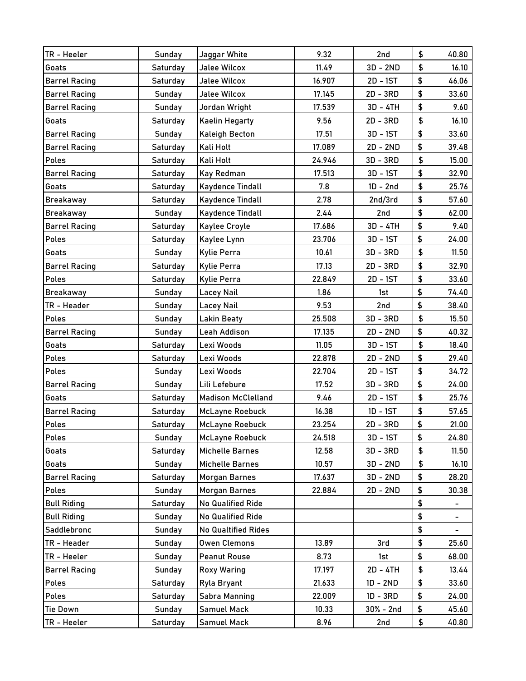| TR - Heeler          | Sunday        | Jaggar White               | 9.32   | 2nd         | \$                         | 40.80 |
|----------------------|---------------|----------------------------|--------|-------------|----------------------------|-------|
| Goats                | Saturday      | <b>Jalee Wilcox</b>        | 11.49  | $3D - 2ND$  | $\boldsymbol{\mathsf{\$}}$ | 16.10 |
| <b>Barrel Racing</b> | Saturday      | <b>Jalee Wilcox</b>        | 16.907 | 2D - 1ST    | \$                         | 46.06 |
| <b>Barrel Racing</b> | Sunday        | <b>Jalee Wilcox</b>        | 17.145 | 2D - 3RD    | \$                         | 33.60 |
| <b>Barrel Racing</b> | Sunday        | Jordan Wright              | 17.539 | 3D - 4TH    | \$                         | 9.60  |
| Goats                | Saturday      | <b>Kaelin Hegarty</b>      | 9.56   | 2D - 3RD    | \$                         | 16.10 |
| <b>Barrel Racing</b> | Sunday        | <b>Kaleigh Becton</b>      | 17.51  | 3D - 1ST    | \$                         | 33.60 |
| <b>Barrel Racing</b> | Saturday      | Kali Holt                  | 17.089 | $2D - 2ND$  | \$                         | 39.48 |
| Poles                | Saturday      | Kali Holt                  | 24.946 | 3D - 3RD    | \$                         | 15.00 |
| <b>Barrel Racing</b> | Saturday      | Kay Redman                 | 17.513 | 3D - 1ST    | \$                         | 32.90 |
| Goats                | Saturday      | <b>Kaydence Tindall</b>    | 7.8    | $1D - 2nd$  | \$                         | 25.76 |
| <b>Breakaway</b>     | Saturday      | Kaydence Tindall           | 2.78   | 2nd/3rd     | \$                         | 57.60 |
| <b>Breakaway</b>     | <b>Sunday</b> | <b>Kaydence Tindall</b>    | 2.44   | 2nd         | \$                         | 62.00 |
| <b>Barrel Racing</b> | Saturday      | Kaylee Croyle              | 17.686 | 3D - 4TH    | \$                         | 9.40  |
| <b>Poles</b>         | Saturday      | Kaylee Lynn                | 23.706 | 3D - 1ST    | \$                         | 24.00 |
| Goats                | Sunday        | <b>Kylie Perra</b>         | 10.61  | 3D - 3RD    | \$                         | 11.50 |
| <b>Barrel Racing</b> | Saturday      | <b>Kylie Perra</b>         | 17.13  | 2D - 3RD    | \$                         | 32.90 |
| <b>Poles</b>         | Saturday      | <b>Kylie Perra</b>         | 22.849 | $2D - 1ST$  | \$                         | 33.60 |
| <b>Breakaway</b>     | Sunday        | <b>Lacey Nail</b>          | 1.86   | 1st         | \$                         | 74.40 |
| TR - Header          | Sunday        | Lacey Nail                 | 9.53   | 2nd         | \$                         | 38.40 |
| <b>Poles</b>         | Sunday        | <b>Lakin Beaty</b>         | 25.508 | 3D - 3RD    | \$                         | 15.50 |
| <b>Barrel Racing</b> | <b>Sunday</b> | Leah Addison               | 17.135 | $2D - 2ND$  | \$                         | 40.32 |
| Goats                | Saturday      | Lexi Woods                 | 11.05  | 3D - 1ST    | \$                         | 18.40 |
| Poles                | Saturday      | Lexi Woods                 | 22.878 | $2D - 2ND$  | \$                         | 29.40 |
| <b>Poles</b>         | Sunday        | Lexi Woods                 | 22.704 | $2D - 1ST$  | \$                         | 34.72 |
| <b>Barrel Racing</b> | Sunday        | Lili Lefebure              | 17.52  | 3D - 3RD    | \$                         | 24.00 |
| Goats                | Saturday      | <b>Madison McClelland</b>  | 9.46   | $2D - 1ST$  | \$                         | 25.76 |
| <b>Barrel Racing</b> | Saturday      | <b>McLayne Roebuck</b>     | 16.38  | 1D - 1ST    | \$                         | 57.65 |
| Poles                | Saturday      | <b>McLayne Roebuck</b>     | 23.254 | 2D - 3RD    | \$                         | 21.00 |
| <b>Poles</b>         | Sunday        | <b>McLayne Roebuck</b>     | 24.518 | 3D - 1ST    | \$                         | 24.80 |
| Goats                | Saturday      | <b>Michelle Barnes</b>     | 12.58  | 3D - 3RD    | \$                         | 11.50 |
| Goats                | Sunday        | <b>Michelle Barnes</b>     | 10.57  | 3D - 2ND    | \$                         | 16.10 |
| <b>Barrel Racing</b> | Saturday      | <b>Morgan Barnes</b>       | 17.637 | $3D - 2ND$  | \$                         | 28.20 |
| Poles                | Sunday        | <b>Morgan Barnes</b>       | 22.884 | 2D - 2ND    | \$                         | 30.38 |
| <b>Bull Riding</b>   | Saturday      | <b>No Qualified Ride</b>   |        |             | \$                         |       |
| <b>Bull Riding</b>   | Sunday        | <b>No Qualified Ride</b>   |        |             | \$                         | Ξ.    |
| Saddlebronc          | Sunday        | <b>No Qualtified Rides</b> |        |             | \$                         | Ξ.    |
| TR - Header          | Sunday        | <b>Owen Clemons</b>        | 13.89  | 3rd         | \$                         | 25.60 |
| TR - Heeler          | Sunday        | <b>Peanut Rouse</b>        | 8.73   | 1st         | \$                         | 68.00 |
| <b>Barrel Racing</b> | Sunday        | <b>Roxy Waring</b>         | 17.197 | 2D - 4TH    | \$                         | 13.44 |
| Poles                | Saturday      | Ryla Bryant                | 21.633 | 1D - 2ND    | \$                         | 33.60 |
| Poles                | Saturday      | <b>Sabra Manning</b>       | 22.009 | 1D - 3RD    | \$                         | 24.00 |
| <b>Tie Down</b>      | Sunday        | <b>Samuel Mack</b>         | 10.33  | $30% - 2nd$ | \$                         | 45.60 |
| TR - Heeler          | Saturday      | <b>Samuel Mack</b>         | 8.96   | 2nd         | \$                         | 40.80 |